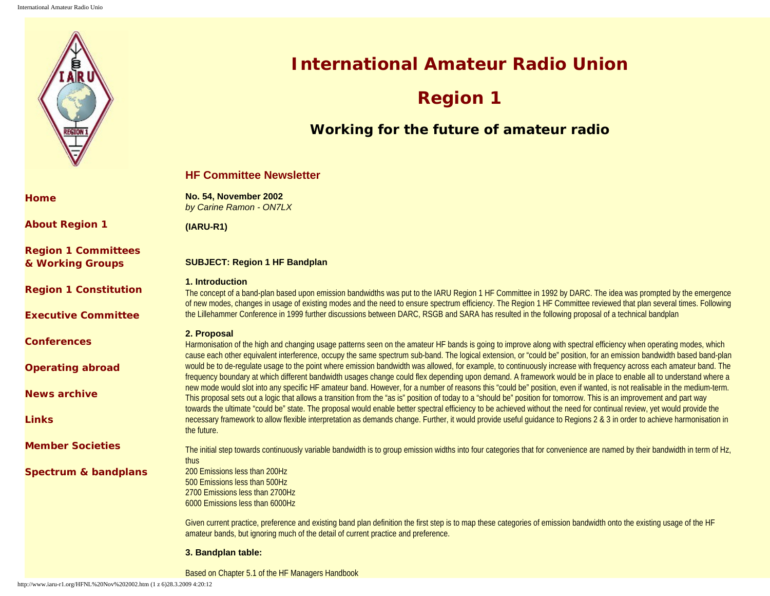

**[Home](http://www.iaru-r1.org/index.htm)**

**[About Region 1](http://www.iaru-r1.org/About%20IARU.htm)**

**[Region 1 Committees](http://www.iaru-r1.org/CommitteWG.htm) [& Working Groups](http://www.iaru-r1.org/CommitteWG.htm)**

**[Region 1 Constitution](http://www.iaru-r1.org/Constitution.htm)**

**[Executive Committee](http://www.iaru-r1.org/EC.htm)**

**[Conferences](http://www.iaru-r1.org/Conferences.htm)**

**[Operating abroad](http://www.iaru-r1.org/Operating%20Abroad.htm)**

**[News archive](http://www.iaru-r1.org/More%20news.htm)**

**[Links](http://www.iaru-r1.org/Links.htm)**

**[Member Societies](http://www.iaru-r1.org/Member%20Societies.htm)**

**[Spectrum & bandplans](http://www.iaru-r1.org/Spectrumbp.htm)**

**International Amateur Radio Union**

# **Region 1**

# **Working for the future of amateur radio**

# **HF Committee Newsletter**

**No. 54, November 2002**  *by Carine Ramon - ON7LX*

**(IARU-R1)**

# **SUBJECT: Region 1 HF Bandplan**

# **1. Introduction**

The concept of a band-plan based upon emission bandwidths was put to the IARU Region 1 HF Committee in 1992 by DARC. The idea was prompted by the emergence of new modes, changes in usage of existing modes and the need to ensure spectrum efficiency. The Region 1 HF Committee reviewed that plan several times. Following the Lillehammer Conference in 1999 further discussions between DARC, RSGB and SARA has resulted in the following proposal of a technical bandplan

# **2. Proposal**

Harmonisation of the high and changing usage patterns seen on the amateur HF bands is going to improve along with spectral efficiency when operating modes, which cause each other equivalent interference, occupy the same spectrum sub-band. The logical extension, or "could be" position, for an emission bandwidth based band-plan would be to de-regulate usage to the point where emission bandwidth was allowed, for example, to continuously increase with frequency across each amateur band. The frequency boundary at which different bandwidth usages change could flex depending upon demand. A framework would be in place to enable all to understand where a new mode would slot into any specific HF amateur band. However, for a number of reasons this "could be" position, even if wanted, is not realisable in the medium-term. This proposal sets out a logic that allows a transition from the "as is" position of today to a "should be" position for tomorrow. This is an improvement and part way towards the ultimate "could be" state. The proposal would enable better spectral efficiency to be achieved without the need for continual review, yet would provide the necessary framework to allow flexible interpretation as demands change. Further, it would provide useful quidance to Regions 2 & 3 in order to achieve harmonisation in the future.

The initial step towards continuously variable bandwidth is to group emission widths into four categories that for convenience are named by their bandwidth in term of Hz, thus 200 Emissions less than 200Hz 500 Emissions less than 500Hz

2700 Emissions less than 2700Hz 6000 Emissions less than 6000Hz

Given current practice, preference and existing band plan definition the first step is to map these categories of emission bandwidth onto the existing usage of the HF amateur bands, but ignoring much of the detail of current practice and preference.

# **3. Bandplan table:**

Based on Chapter 5.1 of the HF Managers Handbook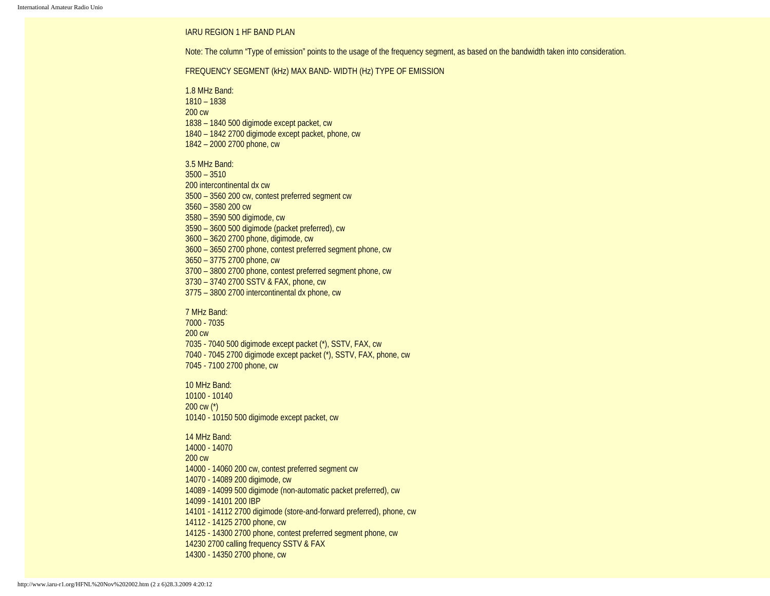#### IARU REGION 1 HF BAND PLAN

Note: The column "Type of emission" points to the usage of the frequency segment, as based on the bandwidth taken into consideration.

#### FREQUENCY SEGMENT (kHz) MAX BAND- WIDTH (Hz) TYPE OF EMISSION

1.8 MHz Band: 1810 – 1838 200 cw 1838 – 1840 500 digimode except packet, cw 1840 – 1842 2700 digimode except packet, phone, cw 1842 – 2000 2700 phone, cw

3.5 MHz Band: 3500 – 3510 200 intercontinental dx cw 3500 – 3560 200 cw, contest preferred segment cw 3560 – 3580 200 cw 3580 – 3590 500 digimode, cw 3590 – 3600 500 digimode (packet preferred), cw 3600 – 3620 2700 phone, digimode, cw 3600 – 3650 2700 phone, contest preferred segment phone, cw 3650 – 3775 2700 phone, cw 3700 – 3800 2700 phone, contest preferred segment phone, cw 3730 – 3740 2700 SSTV & FAX, phone, cw 3775 – 3800 2700 intercontinental dx phone, cw

# 7 MHz Band: 7000 - 7035 200 cw 7035 - 7040 500 digimode except packet (\*), SSTV, FAX, cw 7040 - 7045 2700 digimode except packet (\*), SSTV, FAX, phone, cw 7045 - 7100 2700 phone, cw

10 MHz Band: 10100 - 10140 200 cw (\*) 10140 - 10150 500 digimode except packet, cw

14 MHz Band: 14000 - 14070 200 cw 14000 - 14060 200 cw, contest preferred segment cw 14070 - 14089 200 digimode, cw 14089 - 14099 500 digimode (non-automatic packet preferred), cw 14099 - 14101 200 IBP 14101 - 14112 2700 digimode (store-and-forward preferred), phone, cw 14112 - 14125 2700 phone, cw 14125 - 14300 2700 phone, contest preferred segment phone, cw 14230 2700 calling frequency SSTV & FAX 14300 - 14350 2700 phone, cw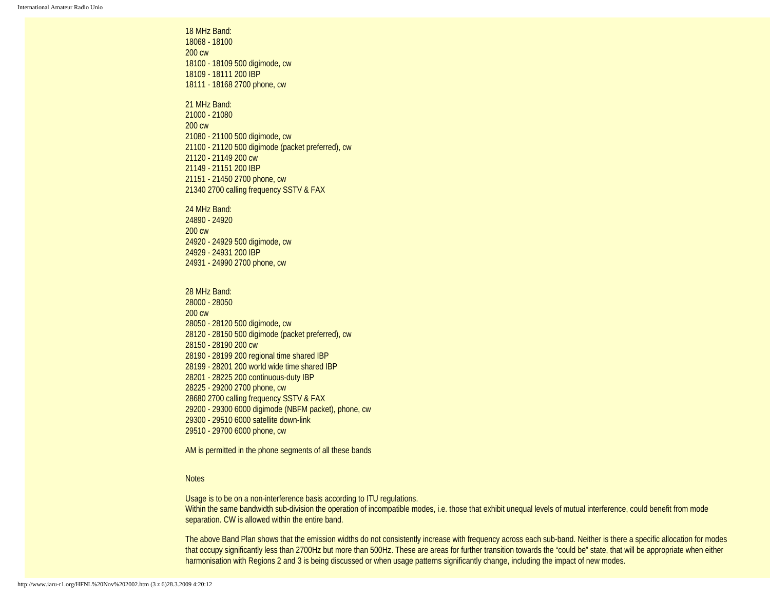18 MHz Band: 18068 - 18100 200 cw 18100 - 18109 500 digimode, cw 18109 - 18111 200 IBP 18111 - 18168 2700 phone, cw

21 MHz Band: 21000 - 21080 200 cw 21080 - 21100 500 digimode, cw 21100 - 21120 500 digimode (packet preferred), cw 21120 - 21149 200 cw 21149 - 21151 200 IBP 21151 - 21450 2700 phone, cw 21340 2700 calling frequency SSTV & FAX

24 MHz Band: 24890 - 24920 200 cw 24920 - 24929 500 digimode, cw 24929 - 24931 200 IBP 24931 - 24990 2700 phone, cw

28 MHz Band: 28000 - 28050 200 cw 28050 - 28120 500 digimode, cw 28120 - 28150 500 digimode (packet preferred), cw 28150 - 28190 200 cw 28190 - 28199 200 regional time shared IBP 28199 - 28201 200 world wide time shared IBP 28201 - 28225 200 continuous-duty IBP 28225 - 29200 2700 phone, cw 28680 2700 calling frequency SSTV & FAX 29200 - 29300 6000 digimode (NBFM packet), phone, cw 29300 - 29510 6000 satellite down-link 29510 - 29700 6000 phone, cw

AM is permitted in the phone segments of all these bands

#### **Notes**

Usage is to be on a non-interference basis according to ITU regulations. Within the same bandwidth sub-division the operation of incompatible modes, i.e. those that exhibit unequal levels of mutual interference, could benefit from mode separation. CW is allowed within the entire band.

The above Band Plan shows that the emission widths do not consistently increase with frequency across each sub-band. Neither is there a specific allocation for modes that occupy significantly less than 2700Hz but more than 500Hz. These are areas for further transition towards the "could be" state, that will be appropriate when either harmonisation with Regions 2 and 3 is being discussed or when usage patterns significantly change, including the impact of new modes.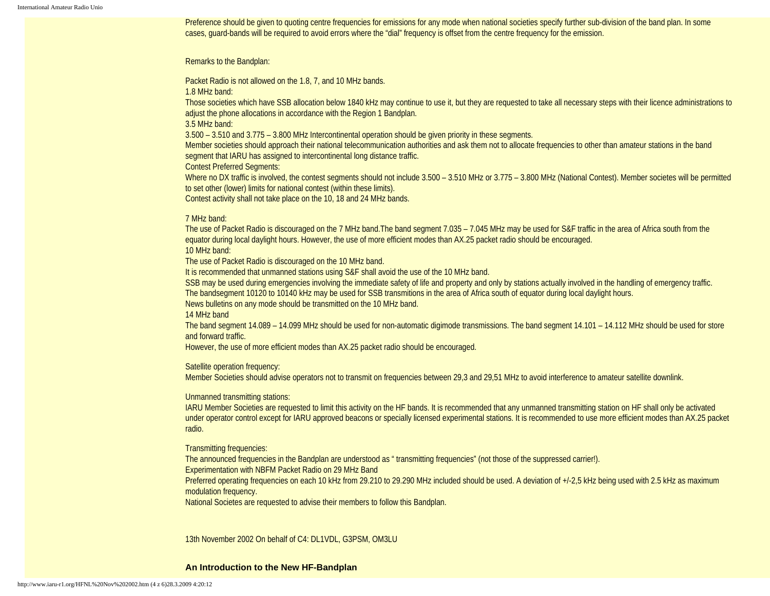Preference should be given to quoting centre frequencies for emissions for any mode when national societies specify further sub-division of the band plan. In some cases, guard-bands will be required to avoid errors where the "dial" frequency is offset from the centre frequency for the emission.

#### Remarks to the Bandplan:

Packet Radio is not allowed on the 1.8, 7, and 10 MHz bands.

1.8 MHz band:

Those societies which have SSB allocation below 1840 kHz may continue to use it, but they are requested to take all necessary steps with their licence administrations to adjust the phone allocations in accordance with the Region 1 Bandplan.

3.5 MHz band:

3.500 – 3.510 and 3.775 – 3.800 MHz Intercontinental operation should be given priority in these segments.

Member societies should approach their national telecommunication authorities and ask them not to allocate frequencies to other than amateur stations in the band segment that IARU has assigned to intercontinental long distance traffic.

Contest Preferred Segments:

Where no DX traffic is involved, the contest segments should not include 3.500 – 3.510 MHz or 3.775 – 3.800 MHz (National Contest). Member societes will be permitted to set other (lower) limits for national contest (within these limits).

Contest activity shall not take place on the 10, 18 and 24 MHz bands.

#### 7 MHz band:

The use of Packet Radio is discouraged on the 7 MHz band.The band segment 7.035 – 7.045 MHz may be used for S&F traffic in the area of Africa south from the equator during local daylight hours. However, the use of more efficient modes than AX.25 packet radio should be encouraged.

10 MHz band:

The use of Packet Radio is discouraged on the 10 MHz band.

It is recommended that unmanned stations using S&F shall avoid the use of the 10 MHz band.

SSB may be used during emergencies involving the immediate safety of life and property and only by stations actually involved in the handling of emergency traffic. The bandsegment 10120 to 10140 kHz may be used for SSB transmitions in the area of Africa south of equator during local daylight hours.

News bulletins on any mode should be transmitted on the 10 MHz band.

# 14 MHz band

The band segment 14.089 – 14.099 MHz should be used for non-automatic digimode transmissions. The band segment 14.101 – 14.112 MHz should be used for store and forward traffic.

However, the use of more efficient modes than AX.25 packet radio should be encouraged.

### Satellite operation frequency:

Member Societies should advise operators not to transmit on frequencies between 29,3 and 29,51 MHz to avoid interference to amateur satellite downlink.

#### Unmanned transmitting stations:

IARU Member Societies are requested to limit this activity on the HF bands. It is recommended that any unmanned transmitting station on HF shall only be activated under operator control except for IARU approved beacons or specially licensed experimental stations. It is recommended to use more efficient modes than AX.25 packet radio.

Transmitting frequencies:

The announced frequencies in the Bandplan are understood as " transmitting frequencies" (not those of the suppressed carrier!).

Experimentation with NBFM Packet Radio on 29 MHz Band

Preferred operating frequencies on each 10 kHz from 29.210 to 29.290 MHz included should be used. A deviation of +/-2,5 kHz being used with 2.5 kHz as maximum modulation frequency.

National Societes are requested to advise their members to follow this Bandplan.

13th November 2002 On behalf of C4: DL1VDL, G3PSM, OM3LU

#### **An Introduction to the New HF-Bandplan**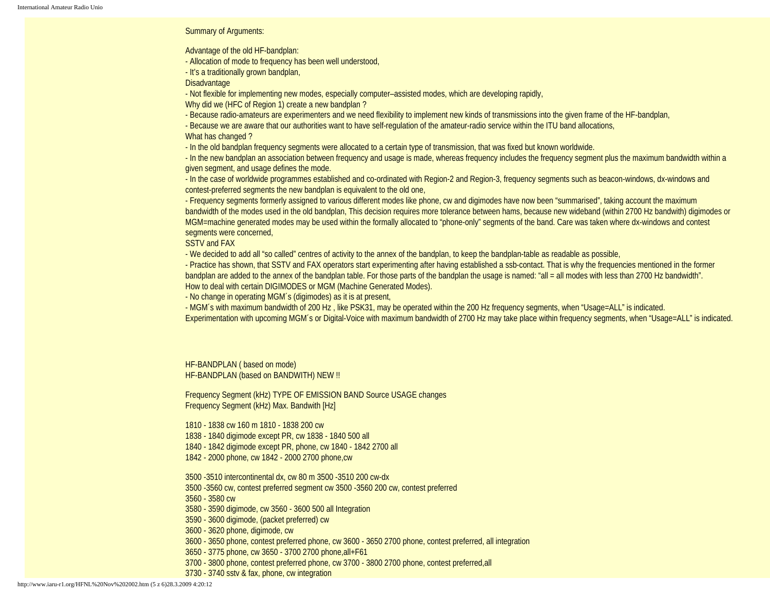Summary of Arguments:

Advantage of the old HF-bandplan:

- Allocation of mode to frequency has been well understood,

- It's a traditionally grown bandplan,

**Disadvantage** 

- Not flexible for implementing new modes, especially computer–assisted modes, which are developing rapidly,

Why did we (HFC of Region 1) create a new bandplan ?

- Because radio-amateurs are experimenters and we need flexibility to implement new kinds of transmissions into the given frame of the HF-bandplan,

- Because we are aware that our authorities want to have self-regulation of the amateur-radio service within the ITU band allocations,

What has changed ?

- In the old bandplan frequency segments were allocated to a certain type of transmission, that was fixed but known worldwide.

- In the new bandplan an association between frequency and usage is made, whereas frequency includes the frequency segment plus the maximum bandwidth within a given segment, and usage defines the mode.

- In the case of worldwide programmes established and co-ordinated with Region-2 and Region-3, frequency segments such as beacon-windows, dx-windows and contest-preferred segments the new bandplan is equivalent to the old one,

- Frequency segments formerly assigned to various different modes like phone, cw and digimodes have now been "summarised", taking account the maximum bandwidth of the modes used in the old bandplan, This decision requires more tolerance between hams, because new wideband (within 2700 Hz bandwith) digimodes or MGM=machine generated modes may be used within the formally allocated to "phone-only" segments of the band. Care was taken where dx-windows and contest segments were concerned,

SSTV and FAX

- We decided to add all "so called" centres of activity to the annex of the bandplan, to keep the bandplan-table as readable as possible,

- Practice has shown, that SSTV and FAX operators start experimenting after having established a ssb-contact. That is why the frequencies mentioned in the former bandplan are added to the annex of the bandplan table. For those parts of the bandplan the usage is named: "all = all modes with less than 2700 Hz bandwidth". How to deal with certain DIGIMODES or MGM (Machine Generated Modes).

- No change in operating MGM´s (digimodes) as it is at present,

- MGM´s with maximum bandwidth of 200 Hz , like PSK31, may be operated within the 200 Hz frequency segments, when "Usage=ALL" is indicated.

Experimentation with upcoming MGM´s or Digital-Voice with maximum bandwidth of 2700 Hz may take place within frequency segments, when "Usage=ALL" is indicated.

HF-BANDPLAN ( based on mode) HF-BANDPLAN (based on BANDWITH) NEW !!

Frequency Segment (kHz) TYPE OF EMISSION BAND Source USAGE changes Frequency Segment (kHz) Max. Bandwith [Hz]

1810 - 1838 cw 160 m 1810 - 1838 200 cw

- 1838 1840 digimode except PR, cw 1838 1840 500 all
- 1840 1842 digimode except PR, phone, cw 1840 1842 2700 all
- 1842 2000 phone, cw 1842 2000 2700 phone,cw
- 3500 -3510 intercontinental dx, cw 80 m 3500 -3510 200 cw-dx
- 3500 -3560 cw, contest preferred segment cw 3500 -3560 200 cw, contest preferred

3560 - 3580 cw

- 3580 3590 digimode, cw 3560 3600 500 all Integration
- 3590 3600 digimode, (packet preferred) cw
- 3600 3620 phone, digimode, cw
- 3600 3650 phone, contest preferred phone, cw 3600 3650 2700 phone, contest preferred, all integration
- 3650 3775 phone, cw 3650 3700 2700 phone,all+F61
- 3700 3800 phone, contest preferred phone, cw 3700 3800 2700 phone, contest preferred,all
- 3730 3740 sstv & fax, phone, cw integration